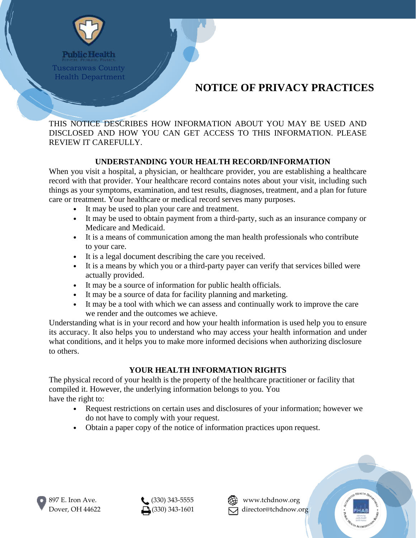

**Public Health** Tuscarawas County Health Department

# **NOTICE OF PRIVACY PRACTICES**

THIS NOTICE DESCRIBES HOW INFORMATION ABOUT YOU MAY BE USED AND DISCLOSED AND HOW YOU CAN GET ACCESS TO THIS INFORMATION. PLEASE REVIEW IT CAREFULLY.

## **UNDERSTANDING YOUR HEALTH RECORD/INFORMATION**

When you visit a hospital, a physician, or healthcare provider, you are establishing a healthcare record with that provider. Your healthcare record contains notes about your visit, including such things as your symptoms, examination, and test results, diagnoses, treatment, and a plan for future care or treatment. Your healthcare or medical record serves many purposes.

- It may be used to plan your care and treatment.
- It may be used to obtain payment from a third-party, such as an insurance company or Medicare and Medicaid.
- It is a means of communication among the man health professionals who contribute to your care.
- It is a legal document describing the care you received.
- It is a means by which you or a third-party payer can verify that services billed were actually provided.
- It may be a source of information for public health officials.
- It may be a source of data for facility planning and marketing.
- It may be a tool with which we can assess and continually work to improve the care we render and the outcomes we achieve.

Understanding what is in your record and how your health information is used help you to ensure its accuracy. It also helps you to understand who may access your health information and under what conditions, and it helps you to make more informed decisions when authorizing disclosure to others.

### **YOUR HEALTH INFORMATION RIGHTS**

The physical record of your health is the property of the healthcare practitioner or facility that compiled it. However, the underlying information belongs to you. You have the right to:

- Request restrictions on certain uses and disclosures of your information; however we do not have to comply with your request.
- Obtain a paper copy of the notice of information practices upon request.







Dover, OH 44622  $\Box$ (330) 343-1601  $\Box$  director@tchdnow.org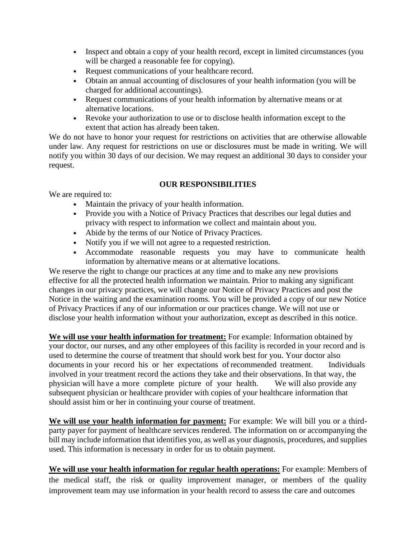- Inspect and obtain a copy of your health record, except in limited circumstances (you will be charged a reasonable fee for copying).
- Request communications of your healthcare record.
- Obtain an annual accounting of disclosures of your health information (you will be charged for additional accountings).
- Request communications of your health information by alternative means or at alternative locations.
- Revoke your authorization to use or to disclose health information except to the extent that action has already been taken.

We do not have to honor your request for restrictions on activities that are otherwise allowable under law. Any request for restrictions on use or disclosures must be made in writing. We will notify you within 30 days of our decision. We may request an additional 30 days to consider your request.

#### **OUR RESPONSIBILITIES**

We are required to:

- Maintain the privacy of your health information.
- Provide you with a Notice of Privacy Practices that describes our legal duties and privacy with respect to information we collect and maintain about you.
- Abide by the terms of our Notice of Privacy Practices.
- Notify you if we will not agree to a requested restriction.
- Accommodate reasonable requests you may have to communicate health information by alternative means or at alternative locations.

We reserve the right to change our practices at any time and to make any new provisions effective for all the protected health information we maintain. Prior to making any significant changes in our privacy practices, we will change our Notice of Privacy Practices and post the Notice in the waiting and the examination rooms. You will be provided a copy of our new Notice of Privacy Practices if any of our information or our practices change. We will not use or disclose your health information without your authorization, except as described in this notice.

**We will use your health information for treatment:** For example: Information obtained by your doctor, our nurses, and any other employees of this facility is recorded in your record and is used to determine the course of treatment that should work best for you. Your doctor also documents in your record his or her expectations of recommended treatment. Individuals involved in your treatment record the actions they take and their observations. In that way, the physician will have a more complete picture of your health. We will also provide any subsequent physician or healthcare provider with copies of your healthcare information that should assist him or her in continuing your course of treatment.

**We will use your health information for payment:** For example: We will bill you or a thirdparty payer for payment of healthcare services rendered. The information on or accompanying the bill may include information that identifies you, as well as your diagnosis, procedures, and supplies used. This information is necessary in order for us to obtain payment.

**We will use your health information for regular health operations:** For example: Members of the medical staff, the risk or quality improvement manager, or members of the quality improvement team may use information in your health record to assess the care and outcomes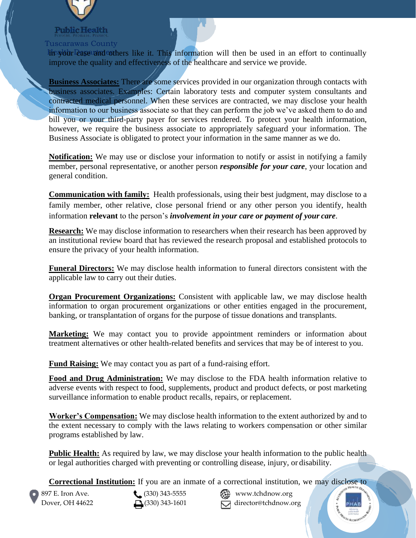

# Tuscarawas County

**Health Department in Section** in This information will then be used in an effort to continually improve the quality and effectiveness of the healthcare and service we provide.

**Business Associates:** There are some services provided in our organization through contacts with business associates. Examples: Certain laboratory tests and computer system consultants and contracted medical personnel. When these services are contracted, we may disclose your health information to our business associate so that they can perform the job we've asked them to do and bill you or your third-party payer for services rendered. To protect your health information, however, we require the business associate to appropriately safeguard your information. The Business Associate is obligated to protect your information in the same manner as we do.

**Notification:** We may use or disclose your information to notify or assist in notifying a family member, personal representative, or another person *responsible for your care*, your location and general condition.

**Communication with family:** Health professionals, using their best judgment, may disclose to a family member, other relative, close personal friend or any other person you identify, health information **relevant** to the person's *involvement in your care or payment of your care*.

**Research:** We may disclose information to researchers when their research has been approved by an institutional review board that has reviewed the research proposal and established protocols to ensure the privacy of your health information.

**Funeral Directors:** We may disclose health information to funeral directors consistent with the applicable law to carry out their duties.

**Organ Procurement Organizations:** Consistent with applicable law, we may disclose health information to organ procurement organizations or other entities engaged in the procurement, banking, or transplantation of organs for the purpose of tissue donations and transplants.

**Marketing:** We may contact you to provide appointment reminders or information about treatment alternatives or other health-related benefits and services that may be of interest to you.

**Fund Raising:** We may contact you as part of a fund-raising effort.

**Food and Drug Administration:** We may disclose to the FDA health information relative to adverse events with respect to food, supplements, product and product defects, or post marketing surveillance information to enable product recalls, repairs, or replacement.

**Worker's Compensation:** We may disclose health information to the extent authorized by and to the extent necessary to comply with the laws relating to workers compensation or other similar programs established by law.

**Public Health:** As required by law, we may disclose your health information to the public health or legal authorities charged with preventing or controlling disease, injury, or disability.

**Correctional Institution:** If you are an inmate of a correctional institution, we may disclose to

897 E. Iron Ave. **(330)** 343-5555 **All Strawthendred West Ave.** Dover, OH 44622  $\Box$  (330) 343-1601  $\Box$  director@tchdnow.org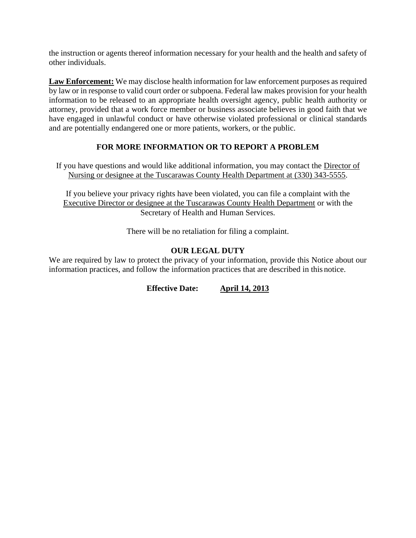the instruction or agents thereof information necessary for your health and the health and safety of other individuals.

**Law Enforcement:** We may disclose health information for law enforcement purposes as required by law or in response to valid court order or subpoena. Federal law makes provision for your health information to be released to an appropriate health oversight agency, public health authority or attorney, provided that a work force member or business associate believes in good faith that we have engaged in unlawful conduct or have otherwise violated professional or clinical standards and are potentially endangered one or more patients, workers, or the public.

## **FOR MORE INFORMATION OR TO REPORT A PROBLEM**

If you have questions and would like additional information, you may contact the Director of Nursing or designee at the Tuscarawas County Health Department at (330) 343-5555.

If you believe your privacy rights have been violated, you can file a complaint with the Executive Director or designee at the Tuscarawas County Health Department or with the Secretary of Health and Human Services.

There will be no retaliation for filing a complaint.

## **OUR LEGAL DUTY**

We are required by law to protect the privacy of your information, provide this Notice about our information practices, and follow the information practices that are described in this notice.

**Effective Date: April 14, 2013**